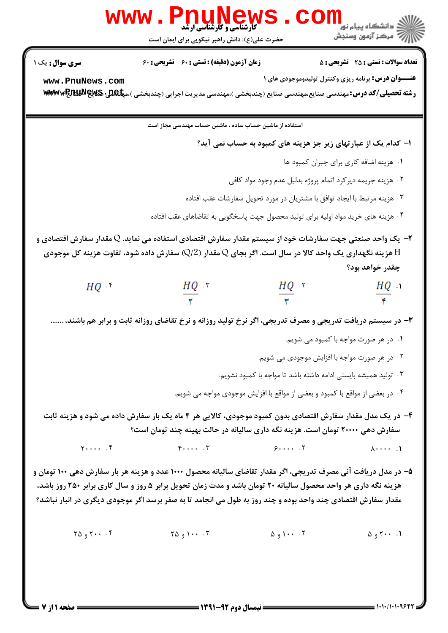$0.97...1$ 

**: نیمسال دوم ۹۲-۱۳۹۱ =** 

 $Y \triangle q Y \cdot \cdot \cdot f$ 

صفحه ۱ از ۷

۵– در مدل دریافت آنی مصرف تدریجی، اگر مقدار تقاضای سالیانه محصول ۱۰۰۰ عدد و هزینه هر بار سفارش دهی ۱۰۰ تومان و هزینه نگه داری هر واحد محصول سالیانه ۲۰ تومان باشد و مدت زمان تحویل برابر ۵ روز و سال کاری برابر ۲۵۰ روز باشد، مقدار سفارش اقتصادی چند واحد بوده و چند روز به طول می انجامد تا به صفر برسد اگر موجودی دیگری در انبار نباشد؟

 $\begin{bmatrix} 1 & 0 \\ 0 & 1 \end{bmatrix}$ 

سفارش دهی ۲۰۰۰۰ تومان است. هزینه نگه داری سالیانه در حالت بهینه چند تومان است؟  $y \ldots . f$  $F \cdots$   $\cdots$  $9...$  $\lambda$ .....

۴– در یک مدل مقدار سفارش اقتصادی بدون کمبود موجودی، کالایی هر ۴ ماه یک بار سفارش داده می شود و هزینه ثابت

۰۳ تولید همیشه بایستی ادامه داشته باشد تا مواجه با کمبود نشویم.

٢٠ در هر صورت مواجه با افزايش موجودي مي شويم.

۰۴ در بعضی از مواقع با کمبود و بعضی از مواقع با افزایش موجودی مواجه می شویم.

 $\Delta$  q  $\backslash \cdot \cdot \cdot \cdot$  .  $\backslash \cdot$ 

- ۳- در سیستم دریافت تدریجی و مصرف تدریجی، اگر نرخ تولید روزانه و نرخ تقاضای روزانه ثابت و برابر هم باشند، ....... ۰۱ در هر صورت مواجه با کمبود می شویم.
- هزینه نگهداری یک واحد کالا در سال است. اگر بجای Q مقدار (Q/2) سفارش داده شود، تفاوت هزینه کل موجودی  $\rm H$ چقدر خواهد بود؟  $\frac{HQ}{ }$  $rac{HQ}{T}$  $HQ$  )  $HO^{+\dagger}$
- ۲– یک واحد صنعتی جهت سفارشات خود از سیستم مقدار سفارش اقتصادی استفاده می نماید. Q مقدار سفارش اقتصادی و

۰۳ هزینه مرتبط با ایجاد توافق با مشتریان در مورد تحویل سفارشات عقب افتاده

استفاده از ماشین حساب ساده ، ماشین حساب مهندسی مجاز است

**رشته تحصیلی/کد درس:**مهندسی صنایع،مهندسی صنایع (چندبخشی )،مهندسی مدیریت اجرایی (چندبخشی )،م**یلیویچ MWWY)#EARE** 

ا– کدام یک از عبارتهای زیر جز هزینه های کمبود به حساب نمی آید؟

- ٠١. هزينه اضافه كاري براي جبران كمبود ها
- 
- <sup>۲</sup>۰ هزینه جریمه دیر کرد اتمام پروژه بدلیل عدم وجود مواد کافی

۰۴ هزینه های خرید مواد اولیه برای تولید محصول جهت پاسخگویی به تقاضاهای عقب افتاده

## **تعداد سوالات : تستي : 25 - تشريحي : 5 زمان آزمون (دقیقه) : تستی : 60 تشریحی : 60 عنـــوان درس:** برنامه ریزی وکنترل تولیدوموجودی های ۱

**سری سوال :** یک ۱

www.PnuNews.com

WWW.PnuNews

حضرت علی(ع): دانش راهبر نیکویی برای ایمان است

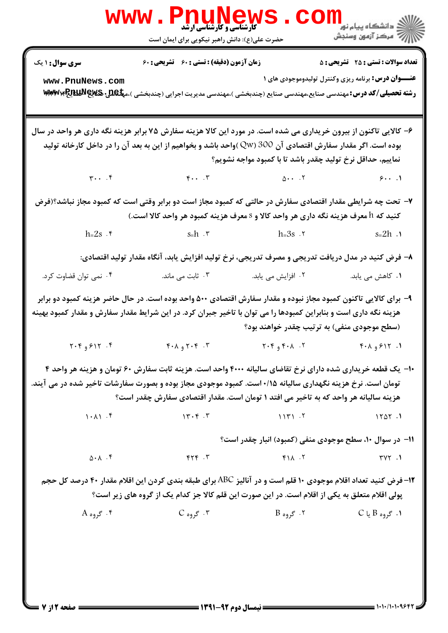|                                           | www.PnuNews.<br>حضرت علی(ع): دانش راهبر نیکویی برای ایمان است                                                                                                                                                                                                                                                     | CO                                                         |                                                                                                            |
|-------------------------------------------|-------------------------------------------------------------------------------------------------------------------------------------------------------------------------------------------------------------------------------------------------------------------------------------------------------------------|------------------------------------------------------------|------------------------------------------------------------------------------------------------------------|
| <b>سری سوال : ۱ یک</b><br>www.PnuNews.com | زمان آزمون (دقیقه) : تستی : 60 ٪ تشریحی : 60<br><b>رشته تحصیلی/کد درس:</b> مهندسی صنایع،مهندسی صنایع (چندبخشی )،مهندسی مدیریت اجرایی (چندبخشی )،م <b>بلگلی کلیایی به پس به کلیایی</b><br>.                                                                                                                        |                                                            | <b>تعداد سوالات : تستی : 25 - تشریحی : 5</b><br><b>عنـــوان درس:</b> برنامه ریزی وکنترل تولیدوموجودی های ۱ |
|                                           | ۶- کالایی تاکنون از بیرون خریداری می شده است. در مورد این کالا هزینه سفارش ۷۵ برابر هزینه نگه داری هر واحد در سال<br>بوده است. اگر مقدار سفارش اقتصادی آن 300 (Qw )واحد باشد و بخواهیم از این به بعد آن را در داخل کارخانه تولید                                                                                  | نماييم، حداقل نرخ توليد چقدر باشد تا با كمبود مواجه نشويم؟ |                                                                                                            |
|                                           | $\gamma \cdot \cdot \cdot \cdot \cdot$ $\gamma \cdot \cdot \cdot \cdot$ $\gamma \cdot \cdot \cdot \cdot$ $\gamma \cdot \cdot \cdot \cdot$ $\gamma \cdot \cdot \cdot \cdot$ $\gamma \cdot \cdot \cdot \cdot$                                                                                                       |                                                            |                                                                                                            |
| $h=2s$ . $\epsilon$                       | ۷– تحت چه شرایطی مقدار اقتصادی سفارش در حالتی که کمبود مجاز است دو برابر وقتی است که کمبود مجاز نباشد؟(فرض<br>کنید که h معرف هزینه نگه داری هر واحد کالا و s معرف هزینه کمبود هر واحد کالا است.)<br>$s=h \cdot r$ $h=3s \cdot r$                                                                                  |                                                            | $s=2h.$                                                                                                    |
|                                           |                                                                                                                                                                                                                                                                                                                   |                                                            |                                                                                                            |
|                                           | ۸– فرض کنید در مدل دریافت تدریجی و مصرف تدریجی، نرخ تولید افزایش یابد، آنگاه مقدار تولید اقتصادی:                                                                                                                                                                                                                 |                                                            |                                                                                                            |
| ۰۴ نمی توان قضاوت کرد.                    | ا ثابت می ماند. $\mathfrak{r}$                                                                                                                                                                                                                                                                                    |                                                            |                                                                                                            |
|                                           | ۹- برای کالایی تاکنون کمبود مجاز نبوده و مقدار سفارش اقتصادی ۵۰۰ واحد بوده است. در حال حاضر هزینه کمبود دو برابر<br>هزینه نگه داری است و بنابراین کمبودها را می توان با تاخیر جبران کرد. در این شرایط مقدار سفارش و مقدار کمبود بهینه                                                                             | (سطح موجودی منفی) به ترتیب چقدر خواهند بود؟                |                                                                                                            |
| $Y.F_{9}$ $91Y.$ $Y$                      | $F \cdot \lambda$ $9 \cdot F \cdot F$ . $T$                                                                                                                                                                                                                                                                       | $Y \cdot Y$ , $Y \cdot Y$                                  | $f \cdot \lambda$ $g \in \mathcal{N}$ .                                                                    |
|                                           | ۱۰− یک قطعه خریداری شده دارای نرخ تقاضای سالیانه ۴۰۰۰ واحد است. هزینه ثابت سفارش ۶۰ تومان و هزینه هر واحد ۴<br>تومان است. نرخ هزینه نگهداری سالیانه ۱۸/۱۵ست. کمبود موجودی مجاز بوده و بصورت سفارشات تاخیر شده در می آیند.<br>هزینه سالیانه هر واحد که به تاخیر می افتد ۱ تومان است. مقدار اقتصادی سفارش چقدر است؟ |                                                            |                                                                                                            |
| $1 - \lambda 1$ . ۴                       | $15.9 - 17$                                                                                                                                                                                                                                                                                                       | $\mathcal{N}$                                              | 1507.1                                                                                                     |
|                                           |                                                                                                                                                                                                                                                                                                                   | ۱۱– در سوال ۱۰، سطح موجودی منفی (کمبود) انبار چقدر است؟    |                                                                                                            |
| $\Delta \cdot \lambda$ . ۴                | $\mathcal{F}$ . $\mathcal{F}$                                                                                                                                                                                                                                                                                     | $Y \setminus \Lambda$ .                                    | $\gamma \gamma \gamma$ .                                                                                   |
|                                           | ۱۲- فرض کنید تعداد اقلام موجودی ۱۰ قلم است و در آنالیز ABC برای طبقه بندی کردن این اقلام مقدار ۴۰ درصد کل حجم<br>پولی اقلام متعلق به یکی از اقلام است. در این صورت این قلم کالا جز کدام یک از گروه های زیر است؟                                                                                                   |                                                            |                                                                                                            |
| ۰۴ گروه A                                 | ۰۳ گروه C                                                                                                                                                                                                                                                                                                         | $\rm{B}$ . گروه $\rm{B}$                                   | ۰۱ گروه B یا C                                                                                             |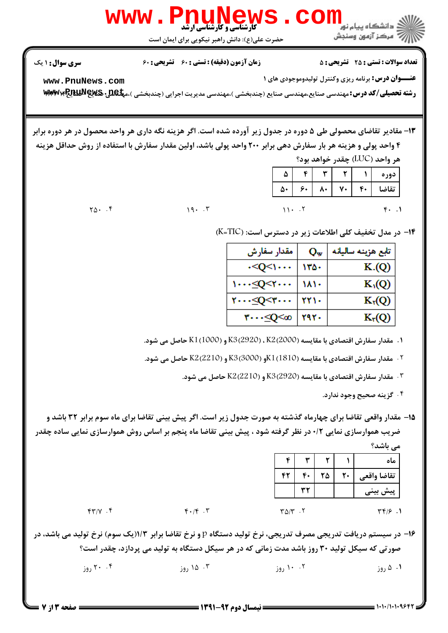

حضرت علی(ع): دانش راهبر نیکویی برای ایمان است

**تعداد سوالات : تستي : 25 - تشريحي : 5** 

زمان آزمون (دقیقه) : تستی : ۶۰٪ تشریحی : ۶۰

**سری سوال : ۱ یک** 

**عنـــوان درس:** برنامه ریزی وکنترل تولیدوموجودی های ۱

www.PnuNews.com

رشته تحصیلی/کد درس: مهندسی صنایع،مهندسی صنایع (چندبخشی )،مهندسی مدیریت اجرایی (چندبخشی )،میPARE، MWWY و WWW

۱۳- مقادیر تقاضای محصولی طی ۵ دوره در جدول زیر آورده شده است. اگر هزینه نگه داری هر واحد محصول در هر دوره برابر ۴ واحد پولی و هزینه هر بار سفارش دهی برابر ۲۰۰ واحد پولی باشد، اولین مقدار سفارش با استفاده از روش حداقل هزینه هر واحد (LUC) چقدر خواهد بود؟

|    | <b>.</b> |        | - 7 | . . | , ,   |
|----|----------|--------|-----|-----|-------|
| ۵  |          | القباة |     |     | دوره  |
| ۵۰ |          | ۸۰     | ٧.  | ۴.  | تقاضا |
|    |          |        |     |     |       |

 $Y \Delta \cdot \cdot \cdot$  $19.7$ 

۰۱۴ در مدل تخفیف کلی اطلاعات زیر در دسترس است: (K=TIC)

| مقدار سفارش                                                    | $Q_w^{-1}$ | تابع هزينه ساليانه |
|----------------------------------------------------------------|------------|--------------------|
| $\cdot$ <q<\\pi <="" td=""><td>۱۳۵۰</td><td>K(Q)</td></q<\\pi> | ۱۳۵۰       | K(Q)               |
| $\cdots \le Q \le Y \cdots$                                    |            | $K_1(Q)$           |
| $\mathsf{Y}\cdots\subseteq\mathbb{Q}$                          | ۲۲۱.       | $K_r(Q)$           |
| ۳۰۰۰⊴Q<∞∣                                                      | YAY.       | $K_r(O)$           |

١. مقدار سفارش اقتصادي با مقايسه (2000)K3 ، (2920) و (1000)K1 حاصل مي شود.

<sup>2</sup> . مقدار سفارش اقتصادي با مقايسه (K1(1810م)K3 و (K3(3000 و K2(2210 حاصل مي شود.

 $\cdot$ ه مقدار سفارش اقتصادی با مقایسه (K3(2920 و (K2(2210 حاصل می شود. "

۰۴ گزینه صحیح وجود ندارد.

۱۵– مقدار واقعی تقاضا برای چهارماه گذشته به صورت جدول زیر است. اگر پیش بینی تقاضا برای ماه سوم برابر ۳۲ باشد و ضریب هموارسازی نمایی ۰/۲ در نظر گرفته شود ، پیش بینی تقاضا ماه پنجم بر اساس روش هموارسازی نمایی ساده چقدر مے باشد؟

|             |                     | €             | $\overline{\phantom{a}}$ | پ  |                | ماه                        |
|-------------|---------------------|---------------|--------------------------|----|----------------|----------------------------|
|             |                     | ۴۲            | $\mathbf{F}$             | ۲۵ | $\mathsf{r}$ . | تقاضا واقعى                |
|             |                     |               | ٣٢                       |    |                | $\ddot{ }$<br>پیس          |
| $f(\gamma)$ | $F \cdot / F$ . $T$ | $T\Delta/T$ . |                          |    |                | $\uparrow \uparrow / 5$ .1 |

۱۶- در سیستم دریافت تدریجی مصرف تدریجی، نرخ تولید دستگاه p و نرخ تقاضا برابر ۱/۳(یک سوم) نرخ تولید می باشد، در صورتی که سیکل تولید ۳۰ روز باشد مدت زمانی که در هر سیکل دستگاه به تولید می پردازد، چقدر است؟

> ۰۳ ۱۵ روز ۰. ۱۰ روز  $, 5, 7.$ ۰۱ ۵ روز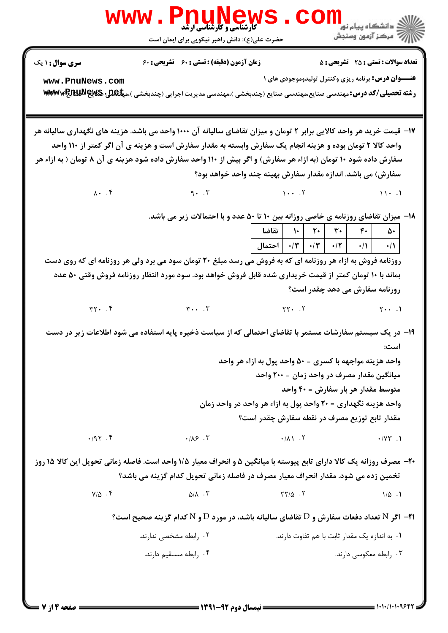

www.PnuNews

**کارشناسی و کارشناسی ارشد** 

 $\text{com}_{\text{split}}$ ی دانشگاه پیام نور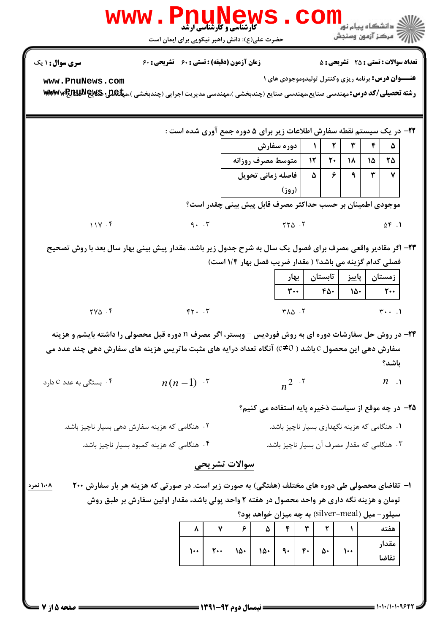| <b>www.PnuNews.COM</b><br>حضرت علی(ع): دانش راهبر نیکویی برای ایمان است                                                                                                                                                                                                                                                                           |                  |                | <b>کارشناسی و کارشناسی ارشد</b>                           |                   |                                  |                |                | رِ ۖ مرڪز آزمون وسنڊش | : دانشگاه پیام نور |                                                                                  |  |
|---------------------------------------------------------------------------------------------------------------------------------------------------------------------------------------------------------------------------------------------------------------------------------------------------------------------------------------------------|------------------|----------------|-----------------------------------------------------------|-------------------|----------------------------------|----------------|----------------|-----------------------|--------------------|----------------------------------------------------------------------------------|--|
| <b>زمان آزمون (دقیقه) : تستی : 60 گشریحی : 60</b><br><b>تعداد سوالات : تستی : 25 ۔ تشریحی : 5</b><br>سری سوال: ۱ یک                                                                                                                                                                                                                               |                  |                |                                                           |                   |                                  |                |                |                       |                    |                                                                                  |  |
| www.PnuNews.com<br><b>رشته تحصیلی/کد درس: م</b> هندسی صنایع،مهندسی صنایع (چندبخشی )،مهندسی مدیریت اجرایی (چندبخشی )،م <b>یکییی لیلاییکی MWW</b> Y\FB                                                                                                                                                                                              |                  |                |                                                           |                   |                                  |                |                |                       |                    | <b>عنـــوان درس:</b> برنامه ریزی وکنترل تولیدوموجودی های ۱                       |  |
|                                                                                                                                                                                                                                                                                                                                                   |                  |                |                                                           |                   |                                  |                |                |                       |                    | <b>۲۲</b> - در یک سیستم نقطه سفارش اطلاعات زیر برای ۵ دوره جمع آوری شده است :    |  |
|                                                                                                                                                                                                                                                                                                                                                   |                  |                |                                                           |                   | دوره سفارش                       |                | $\overline{1}$ | $\mathsf{r}$<br>٣     | $\mathfrak{r}$     | ۵                                                                                |  |
|                                                                                                                                                                                                                                                                                                                                                   |                  |                |                                                           | متوسط مصرف روزانه |                                  | $\mathcal{N}$  |                | 20<br>18              | ۱۵                 | 25                                                                               |  |
|                                                                                                                                                                                                                                                                                                                                                   |                  |                |                                                           | فاصله زمانی تحویل |                                  | ۵              |                | ۶<br>٩                | ٣                  | ۷                                                                                |  |
|                                                                                                                                                                                                                                                                                                                                                   |                  |                | موجودی اطمینان بر حسب حداکثر مصرف قابل پیش بینی چقدر است؟ |                   | (روز)                            |                |                |                       |                    |                                                                                  |  |
| $11Y \cdot F$                                                                                                                                                                                                                                                                                                                                     | 9.7              |                |                                                           |                   | $\gamma \gamma \Delta$ .         |                |                |                       |                    | $\Delta \uparrow$ .1                                                             |  |
| ۲۳- اگر مقادیر واقعی مصرف برای فصول یک سال به شرح جدول زیر باشد. مقدار پیش بینی بهار سال بعد با روش تصحیح<br>$YV\Delta$ .<br><b>34</b> - در روش حل سفارشات دوره ای به روش فوردیس - وبستر، اگر مصرف 1 دوره قبل محصولی را داشته بایشم و هزینه<br>سفارش دهی این محصول C باشد ( C≠O) آنگاه تعداد درایه های مثبت ماتریس هزینه های سفارش دهی چند عدد می | $Y - Y$          |                | فصلی کدام گزینه می باشد؟ ( مقدار ضریب فصل بهار ۱/۴ است)   |                   | ۳۰۰<br>$Y \wedge \vartriangle$ . | تابستان   بهار | ۴۵۰            | پاییز                 | $10 \cdot$         | زمستان ا<br>$\mathbf{r}$ .<br>$\mathbf{y} \cdot \cdot \cdot \mathbf{y}$<br>باشد؟ |  |
| ۰۴ بستگی به عدد C دارد                                                                                                                                                                                                                                                                                                                            | $n(n-1)$ $\cdot$ |                |                                                           |                   | $n^2$ .                          |                |                |                       |                    | $n \lambda$                                                                      |  |
| ۲۵- در چه موقع از سیاست ذخیره پایه استفاده می کنیم؟                                                                                                                                                                                                                                                                                               |                  |                |                                                           |                   |                                  |                |                |                       |                    |                                                                                  |  |
| ۰۱ هنگامی که هزینه نگهداری بسیار ناچیز باشد.<br>۰۲ هنگامی که هزینه سفارش دهی بسیار ناچیز باشد.                                                                                                                                                                                                                                                    |                  |                |                                                           |                   |                                  |                |                |                       |                    |                                                                                  |  |
| ۰۳ هنگامی که مقدار مصرف آن بسیار ناچیز باشد.<br>۰۴ هنگامی که هزینه کمبود بسیار ناچیز باشد.                                                                                                                                                                                                                                                        |                  |                |                                                           |                   |                                  |                |                |                       |                    |                                                                                  |  |
|                                                                                                                                                                                                                                                                                                                                                   |                  |                | سوالات تشريحى                                             |                   |                                  |                |                |                       |                    |                                                                                  |  |
| ا– تقاضای محصولی طی دوره های مختلف (هفتگی) به صورت زیر است. در صورتی که هزینه هر بار سفارش ۲۰۰<br>۱.۰۸ نمره                                                                                                                                                                                                                                       |                  |                |                                                           |                   |                                  |                |                |                       |                    |                                                                                  |  |
| تومان و هزینه نگه داری هر واحد محصول در هفته ۲ واحد پولی باشد، مقدار اولین سفارش بر طبق روش                                                                                                                                                                                                                                                       |                  |                |                                                           |                   |                                  |                |                |                       |                    |                                                                                  |  |
| سیلور – میل (silver-meal) به چه میزان خواهد بود؟                                                                                                                                                                                                                                                                                                  |                  |                |                                                           |                   |                                  |                |                |                       |                    |                                                                                  |  |
|                                                                                                                                                                                                                                                                                                                                                   | ^                |                | ۶                                                         | $\Delta$          | $F \mid$                         |                |                |                       |                    | هفته                                                                             |  |
|                                                                                                                                                                                                                                                                                                                                                   | $\cdots$         | $\mathbf{y}$ . | 10.4                                                      | $10 \cdot$        | $\mathsf{R} \cdot  $             | $F+$           | ۵۰             | $\mathbf{L}$          |                    | مقدار<br>تقاضا                                                                   |  |
|                                                                                                                                                                                                                                                                                                                                                   |                  |                |                                                           |                   |                                  |                |                |                       |                    |                                                                                  |  |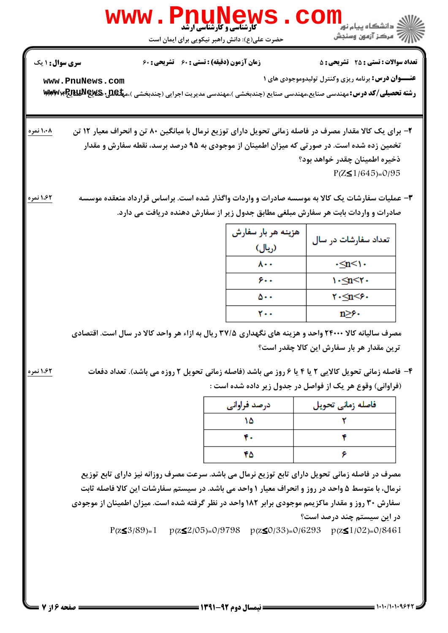

 $\mathbf{Y} \cdot \leq \mathbf{n} \leq \mathbf{S} \cdot$ 

 $n > 2$ 

مصرف سالیانه کالا ۲۴۰۰۰ واحد و هزینه های نگهداری ۳۷/۵ ریال به ازاء هر واحد کالا در سال است. اقتصادی ترین مقدار هر بار سفارش این کالا چقدر است؟

۵۰۰

 $Y - -$ 

۴- فاصله زمانی تحویل کالایی ۲ یا ۴ یا ۶ روز می باشد (فاصله زمانی تحویل ۲ روزه می باشد). تعداد دفعات (فراوانی) وقوع هر یک از فواصل در جدول زیر داده شده است :

| درصد فراوانی | فاصله زمانى تحويل |
|--------------|-------------------|
| ۱۵           |                   |
| ۴.           |                   |
| ۴۵           |                   |

مصرف در فاصله زمانی تحویل دارای تابع توزیع نرمال می باشد. سرعت مصرف روزانه نیز دارای تابع توزیع نرمال، با متوسط ۵ واحد در روز و انحراف معیار ۱ واحد می باشد. در سیستم سفارشات این کالا فاصله ثابت سفارش ۳۰ روز و مقدار ماکزیمم موجودی برابر ۱۸۲ واحد در نظر گرفته شده است. میزان اطمینان از موجودی در این سیستم چند درصد است؟

 $P(z \le 3/89) = 1$   $p(z \le 2/05) = 0/9798$   $p(z \le 0/33) = 0/6293$   $p(z \le 1/02) = 0/8461$ 

۱،۶۲ نم<mark>ره</mark>

**زمان آزمون (دقیقه) : تستی : ۶۰ تشریحی : ۶۰** 

حضرت علی(ع): دانش راهبر نیکویی برای ایمان است

**سری سوال : ۱ یک** 

۱،۰۸ نمره

1،62 نمره

WWW.PnuNews.com

www.PnuNews.com

الإرجم مركز آزمون وسنجش

**تعداد سوالات : تستي : 25 - تشريحي : 5**